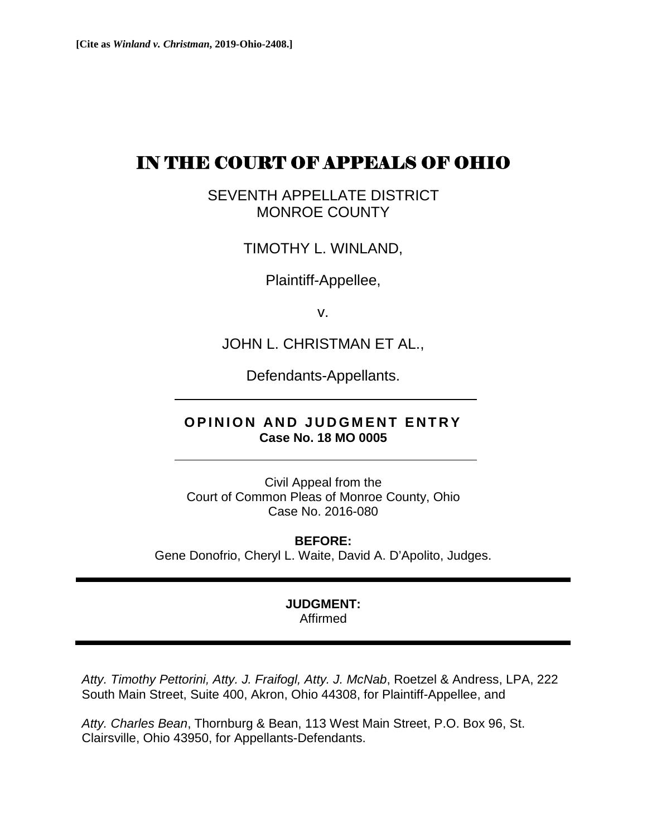# IN THE COURT OF APPEALS OF OHIO

SEVENTH APPELLATE DISTRICT MONROE COUNTY

TIMOTHY L. WINLAND,

Plaintiff-Appellee,

v.

JOHN L. CHRISTMAN ET AL.,

Defendants-Appellants.

## **OPINION AND JUDGMENT ENTRY Case No. 18 MO 0005**

Civil Appeal from the Court of Common Pleas of Monroe County, Ohio Case No. 2016-080

**BEFORE:**  Gene Donofrio, Cheryl L. Waite, David A. D'Apolito, Judges.

#### **JUDGMENT:**  Affirmed

*Atty. Timothy Pettorini, Atty. J. Fraifogl, Atty. J. McNab*, Roetzel & Andress, LPA, 222 South Main Street, Suite 400, Akron, Ohio 44308, for Plaintiff-Appellee, and

*Atty. Charles Bean*, Thornburg & Bean, 113 West Main Street, P.O. Box 96, St. Clairsville, Ohio 43950, for Appellants-Defendants.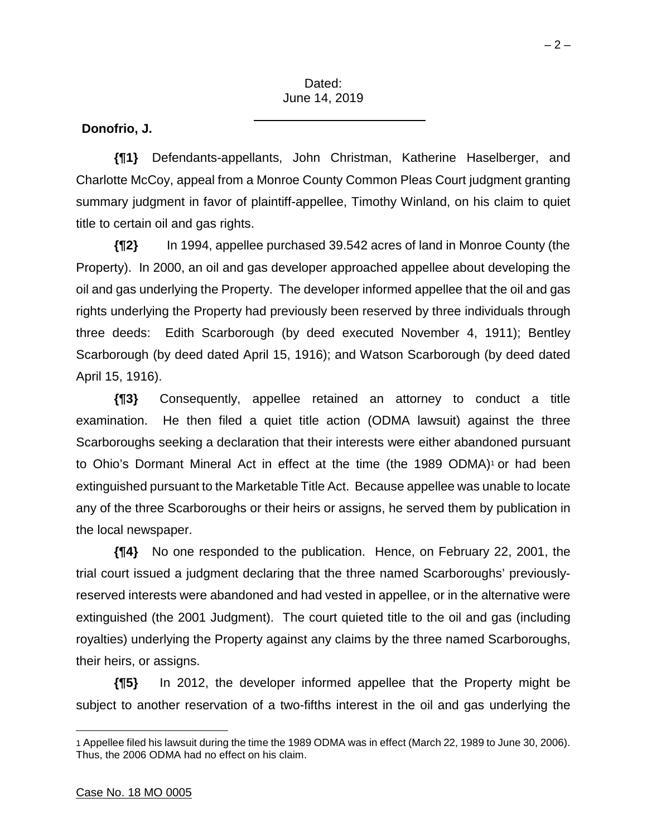### **Donofrio, J.**

**{¶1}** Defendants-appellants, John Christman, Katherine Haselberger, and Charlotte McCoy, appeal from a Monroe County Common Pleas Court judgment granting summary judgment in favor of plaintiff-appellee, Timothy Winland, on his claim to quiet title to certain oil and gas rights.

**{¶2}** In 1994, appellee purchased 39.542 acres of land in Monroe County (the Property). In 2000, an oil and gas developer approached appellee about developing the oil and gas underlying the Property. The developer informed appellee that the oil and gas rights underlying the Property had previously been reserved by three individuals through three deeds: Edith Scarborough (by deed executed November 4, 1911); Bentley Scarborough (by deed dated April 15, 1916); and Watson Scarborough (by deed dated April 15, 1916).

**{¶3}** Consequently, appellee retained an attorney to conduct a title examination. He then filed a quiet title action (ODMA lawsuit) against the three Scarboroughs seeking a declaration that their interests were either abandoned pursuant to Ohio's Dormant Mineral Act in effect at the time (the 1989 ODMA)<sup>1</sup> or had been extinguished pursuant to the Marketable Title Act. Because appellee was unable to locate any of the three Scarboroughs or their heirs or assigns, he served them by publication in the local newspaper.

**{¶4}** No one responded to the publication. Hence, on February 22, 2001, the trial court issued a judgment declaring that the three named Scarboroughs' previouslyreserved interests were abandoned and had vested in appellee, or in the alternative were extinguished (the 2001 Judgment). The court quieted title to the oil and gas (including royalties) underlying the Property against any claims by the three named Scarboroughs, their heirs, or assigns.

**{¶5}** In 2012, the developer informed appellee that the Property might be subject to another reservation of a two-fifths interest in the oil and gas underlying the

 $\overline{a}$ 

<sup>1</sup> Appellee filed his lawsuit during the time the 1989 ODMA was in effect (March 22, 1989 to June 30, 2006). Thus, the 2006 ODMA had no effect on his claim.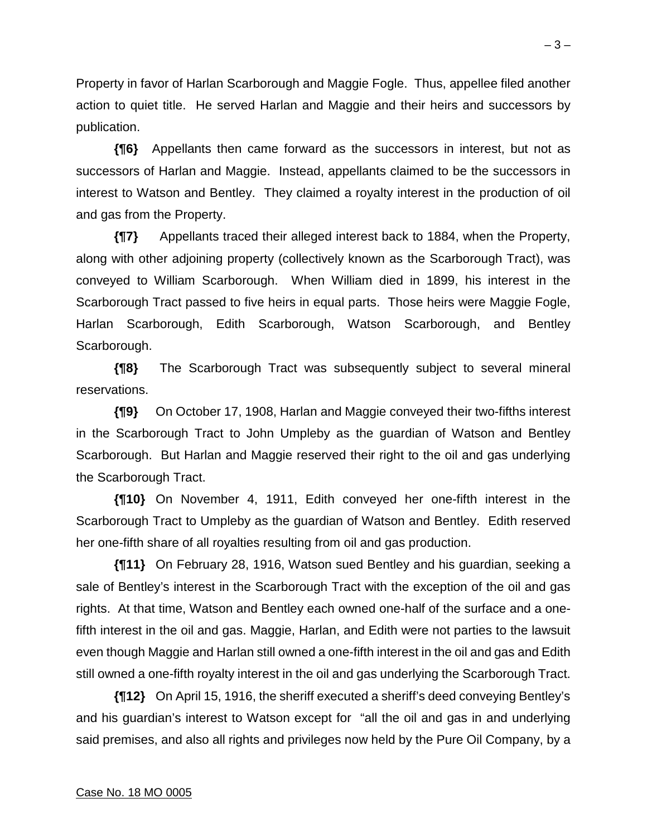Property in favor of Harlan Scarborough and Maggie Fogle. Thus, appellee filed another action to quiet title. He served Harlan and Maggie and their heirs and successors by publication.

**{¶6}** Appellants then came forward as the successors in interest, but not as successors of Harlan and Maggie. Instead, appellants claimed to be the successors in interest to Watson and Bentley. They claimed a royalty interest in the production of oil and gas from the Property.

**{¶7}** Appellants traced their alleged interest back to 1884, when the Property, along with other adjoining property (collectively known as the Scarborough Tract), was conveyed to William Scarborough. When William died in 1899, his interest in the Scarborough Tract passed to five heirs in equal parts. Those heirs were Maggie Fogle, Harlan Scarborough, Edith Scarborough, Watson Scarborough, and Bentley Scarborough.

**{¶8}** The Scarborough Tract was subsequently subject to several mineral reservations.

**{¶9}** On October 17, 1908, Harlan and Maggie conveyed their two-fifths interest in the Scarborough Tract to John Umpleby as the guardian of Watson and Bentley Scarborough. But Harlan and Maggie reserved their right to the oil and gas underlying the Scarborough Tract.

**{¶10}** On November 4, 1911, Edith conveyed her one-fifth interest in the Scarborough Tract to Umpleby as the guardian of Watson and Bentley. Edith reserved her one-fifth share of all royalties resulting from oil and gas production.

**{¶11}** On February 28, 1916, Watson sued Bentley and his guardian, seeking a sale of Bentley's interest in the Scarborough Tract with the exception of the oil and gas rights. At that time, Watson and Bentley each owned one-half of the surface and a onefifth interest in the oil and gas. Maggie, Harlan, and Edith were not parties to the lawsuit even though Maggie and Harlan still owned a one-fifth interest in the oil and gas and Edith still owned a one-fifth royalty interest in the oil and gas underlying the Scarborough Tract.

**{¶12}** On April 15, 1916, the sheriff executed a sheriff's deed conveying Bentley's and his guardian's interest to Watson except for "all the oil and gas in and underlying said premises, and also all rights and privileges now held by the Pure Oil Company, by a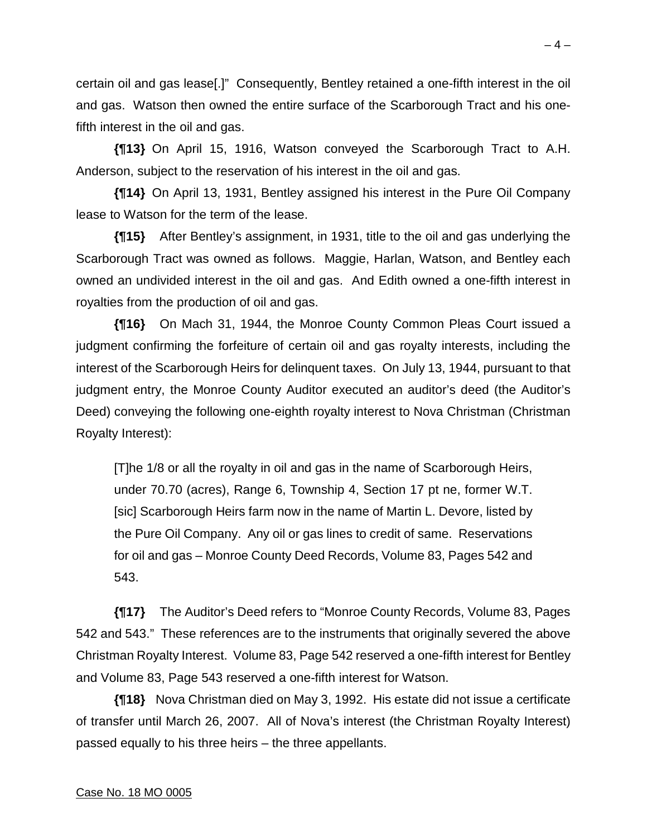certain oil and gas lease[.]" Consequently, Bentley retained a one-fifth interest in the oil and gas. Watson then owned the entire surface of the Scarborough Tract and his onefifth interest in the oil and gas.

**{¶13}** On April 15, 1916, Watson conveyed the Scarborough Tract to A.H. Anderson, subject to the reservation of his interest in the oil and gas.

**{¶14}** On April 13, 1931, Bentley assigned his interest in the Pure Oil Company lease to Watson for the term of the lease.

**{¶15}** After Bentley's assignment, in 1931, title to the oil and gas underlying the Scarborough Tract was owned as follows. Maggie, Harlan, Watson, and Bentley each owned an undivided interest in the oil and gas. And Edith owned a one-fifth interest in royalties from the production of oil and gas.

**{¶16}** On Mach 31, 1944, the Monroe County Common Pleas Court issued a judgment confirming the forfeiture of certain oil and gas royalty interests, including the interest of the Scarborough Heirs for delinquent taxes. On July 13, 1944, pursuant to that judgment entry, the Monroe County Auditor executed an auditor's deed (the Auditor's Deed) conveying the following one-eighth royalty interest to Nova Christman (Christman Royalty Interest):

[T]he 1/8 or all the royalty in oil and gas in the name of Scarborough Heirs, under 70.70 (acres), Range 6, Township 4, Section 17 pt ne, former W.T. [sic] Scarborough Heirs farm now in the name of Martin L. Devore, listed by the Pure Oil Company. Any oil or gas lines to credit of same. Reservations for oil and gas – Monroe County Deed Records, Volume 83, Pages 542 and 543.

**{¶17}** The Auditor's Deed refers to "Monroe County Records, Volume 83, Pages 542 and 543." These references are to the instruments that originally severed the above Christman Royalty Interest. Volume 83, Page 542 reserved a one-fifth interest for Bentley and Volume 83, Page 543 reserved a one-fifth interest for Watson.

**{¶18}** Nova Christman died on May 3, 1992. His estate did not issue a certificate of transfer until March 26, 2007. All of Nova's interest (the Christman Royalty Interest) passed equally to his three heirs – the three appellants.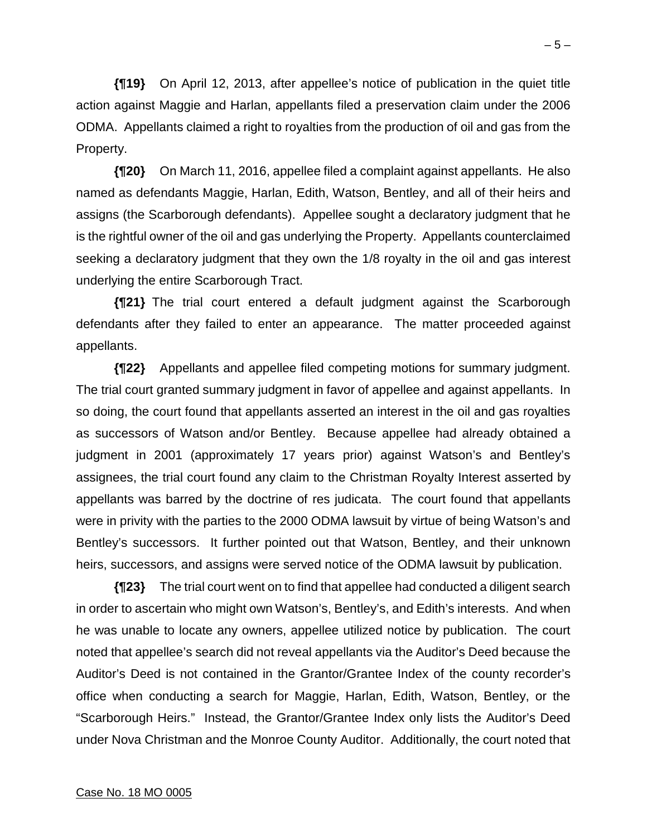**{¶19}** On April 12, 2013, after appellee's notice of publication in the quiet title action against Maggie and Harlan, appellants filed a preservation claim under the 2006 ODMA. Appellants claimed a right to royalties from the production of oil and gas from the Property.

**{¶20}** On March 11, 2016, appellee filed a complaint against appellants. He also named as defendants Maggie, Harlan, Edith, Watson, Bentley, and all of their heirs and assigns (the Scarborough defendants). Appellee sought a declaratory judgment that he is the rightful owner of the oil and gas underlying the Property. Appellants counterclaimed seeking a declaratory judgment that they own the 1/8 royalty in the oil and gas interest underlying the entire Scarborough Tract.

**{¶21}** The trial court entered a default judgment against the Scarborough defendants after they failed to enter an appearance. The matter proceeded against appellants.

**{¶22}** Appellants and appellee filed competing motions for summary judgment. The trial court granted summary judgment in favor of appellee and against appellants. In so doing, the court found that appellants asserted an interest in the oil and gas royalties as successors of Watson and/or Bentley. Because appellee had already obtained a judgment in 2001 (approximately 17 years prior) against Watson's and Bentley's assignees, the trial court found any claim to the Christman Royalty Interest asserted by appellants was barred by the doctrine of res judicata. The court found that appellants were in privity with the parties to the 2000 ODMA lawsuit by virtue of being Watson's and Bentley's successors. It further pointed out that Watson, Bentley, and their unknown heirs, successors, and assigns were served notice of the ODMA lawsuit by publication.

**{¶23}** The trial court went on to find that appellee had conducted a diligent search in order to ascertain who might own Watson's, Bentley's, and Edith's interests. And when he was unable to locate any owners, appellee utilized notice by publication. The court noted that appellee's search did not reveal appellants via the Auditor's Deed because the Auditor's Deed is not contained in the Grantor/Grantee Index of the county recorder's office when conducting a search for Maggie, Harlan, Edith, Watson, Bentley, or the "Scarborough Heirs." Instead, the Grantor/Grantee Index only lists the Auditor's Deed under Nova Christman and the Monroe County Auditor. Additionally, the court noted that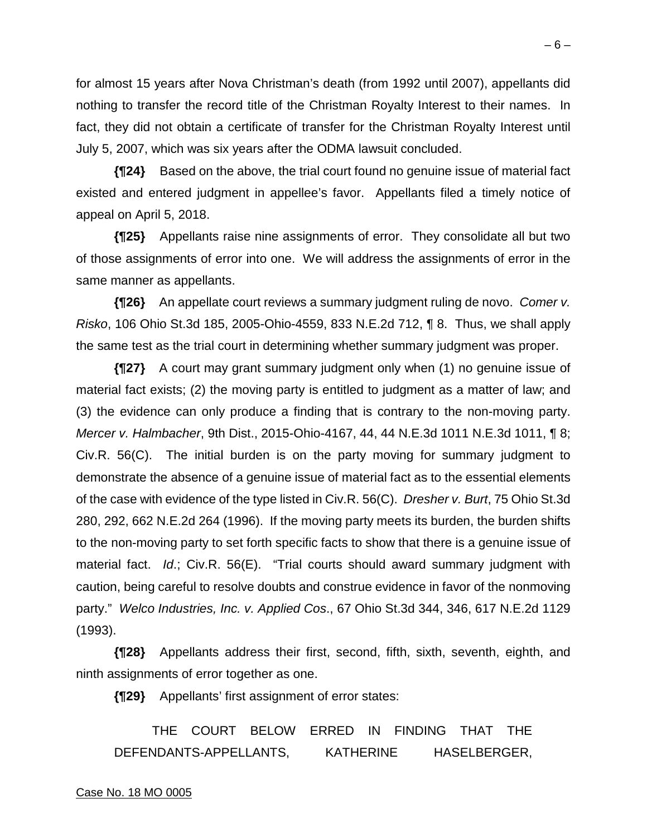for almost 15 years after Nova Christman's death (from 1992 until 2007), appellants did nothing to transfer the record title of the Christman Royalty Interest to their names. In fact, they did not obtain a certificate of transfer for the Christman Royalty Interest until July 5, 2007, which was six years after the ODMA lawsuit concluded.

**{¶24}** Based on the above, the trial court found no genuine issue of material fact existed and entered judgment in appellee's favor. Appellants filed a timely notice of appeal on April 5, 2018.

**{¶25}** Appellants raise nine assignments of error. They consolidate all but two of those assignments of error into one. We will address the assignments of error in the same manner as appellants.

**{¶26}** An appellate court reviews a summary judgment ruling de novo. *Comer v. Risko*, 106 Ohio St.3d 185, 2005-Ohio-4559, 833 N.E.2d 712, ¶ 8. Thus, we shall apply the same test as the trial court in determining whether summary judgment was proper.

**{¶27}** A court may grant summary judgment only when (1) no genuine issue of material fact exists; (2) the moving party is entitled to judgment as a matter of law; and (3) the evidence can only produce a finding that is contrary to the non-moving party. *Mercer v. Halmbacher*, 9th Dist., 2015-Ohio-4167, 44, 44 N.E.3d 1011 N.E.3d 1011, ¶ 8; Civ.R. 56(C). The initial burden is on the party moving for summary judgment to demonstrate the absence of a genuine issue of material fact as to the essential elements of the case with evidence of the type listed in Civ.R. 56(C). *Dresher v. Burt*, 75 Ohio St.3d 280, 292, 662 N.E.2d 264 (1996). If the moving party meets its burden, the burden shifts to the non-moving party to set forth specific facts to show that there is a genuine issue of material fact. *Id*.; Civ.R. 56(E). "Trial courts should award summary judgment with caution, being careful to resolve doubts and construe evidence in favor of the nonmoving party." *Welco Industries, Inc. v. Applied Cos*., 67 Ohio St.3d 344, 346, 617 N.E.2d 1129 (1993).

**{¶28}** Appellants address their first, second, fifth, sixth, seventh, eighth, and ninth assignments of error together as one.

**{¶29}** Appellants' first assignment of error states:

 THE COURT BELOW ERRED IN FINDING THAT THE DEFENDANTS-APPELLANTS, KATHERINE HASELBERGER,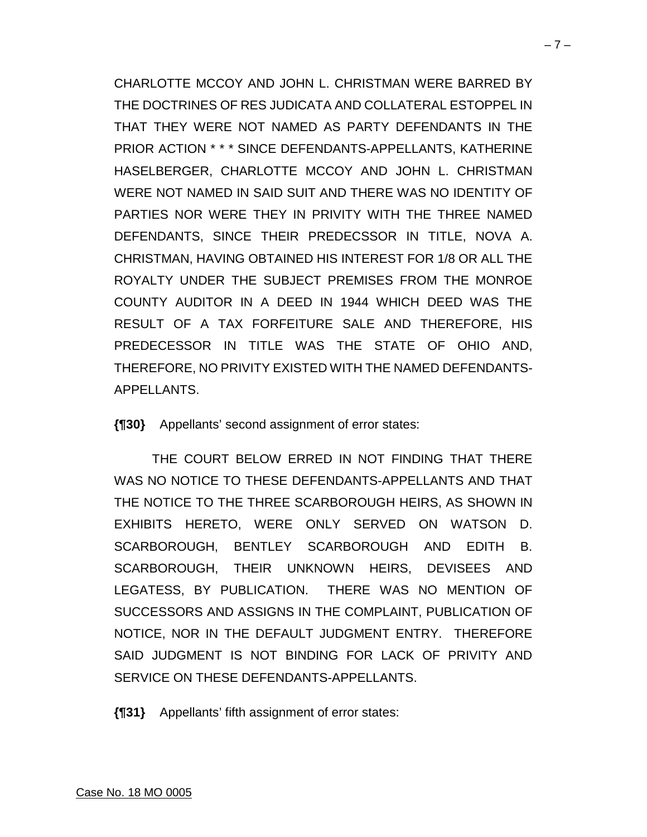CHARLOTTE MCCOY AND JOHN L. CHRISTMAN WERE BARRED BY THE DOCTRINES OF RES JUDICATA AND COLLATERAL ESTOPPEL IN THAT THEY WERE NOT NAMED AS PARTY DEFENDANTS IN THE PRIOR ACTION \* \* \* SINCE DEFENDANTS-APPELLANTS, KATHERINE HASELBERGER, CHARLOTTE MCCOY AND JOHN L. CHRISTMAN WERE NOT NAMED IN SAID SUIT AND THERE WAS NO IDENTITY OF PARTIES NOR WERE THEY IN PRIVITY WITH THE THREE NAMED DEFENDANTS, SINCE THEIR PREDECSSOR IN TITLE, NOVA A. CHRISTMAN, HAVING OBTAINED HIS INTEREST FOR 1/8 OR ALL THE ROYALTY UNDER THE SUBJECT PREMISES FROM THE MONROE COUNTY AUDITOR IN A DEED IN 1944 WHICH DEED WAS THE RESULT OF A TAX FORFEITURE SALE AND THEREFORE, HIS PREDECESSOR IN TITLE WAS THE STATE OF OHIO AND, THEREFORE, NO PRIVITY EXISTED WITH THE NAMED DEFENDANTS-APPELLANTS.

**{¶30}** Appellants' second assignment of error states:

 THE COURT BELOW ERRED IN NOT FINDING THAT THERE WAS NO NOTICE TO THESE DEFENDANTS-APPELLANTS AND THAT THE NOTICE TO THE THREE SCARBOROUGH HEIRS, AS SHOWN IN EXHIBITS HERETO, WERE ONLY SERVED ON WATSON D. SCARBOROUGH, BENTLEY SCARBOROUGH AND EDITH B. SCARBOROUGH, THEIR UNKNOWN HEIRS, DEVISEES AND LEGATESS, BY PUBLICATION. THERE WAS NO MENTION OF SUCCESSORS AND ASSIGNS IN THE COMPLAINT, PUBLICATION OF NOTICE, NOR IN THE DEFAULT JUDGMENT ENTRY. THEREFORE SAID JUDGMENT IS NOT BINDING FOR LACK OF PRIVITY AND SERVICE ON THESE DEFENDANTS-APPELLANTS.

**{¶31}** Appellants' fifth assignment of error states: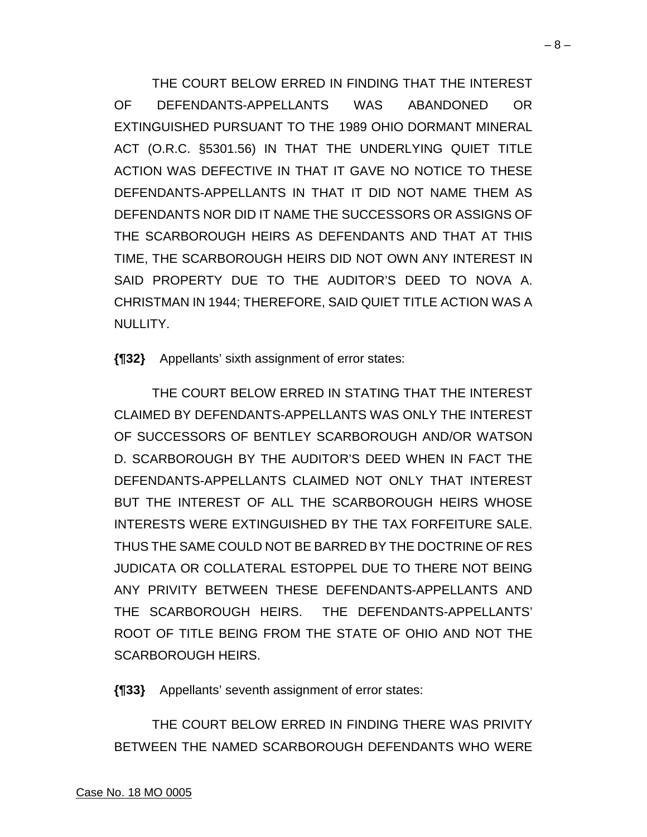THE COURT BELOW ERRED IN FINDING THAT THE INTEREST OF DEFENDANTS-APPELLANTS WAS ABANDONED OR EXTINGUISHED PURSUANT TO THE 1989 OHIO DORMANT MINERAL ACT (O.R.C. §5301.56) IN THAT THE UNDERLYING QUIET TITLE ACTION WAS DEFECTIVE IN THAT IT GAVE NO NOTICE TO THESE DEFENDANTS-APPELLANTS IN THAT IT DID NOT NAME THEM AS DEFENDANTS NOR DID IT NAME THE SUCCESSORS OR ASSIGNS OF THE SCARBOROUGH HEIRS AS DEFENDANTS AND THAT AT THIS TIME, THE SCARBOROUGH HEIRS DID NOT OWN ANY INTEREST IN SAID PROPERTY DUE TO THE AUDITOR'S DEED TO NOVA A. CHRISTMAN IN 1944; THEREFORE, SAID QUIET TITLE ACTION WAS A NULLITY.

**{¶32}** Appellants' sixth assignment of error states:

 THE COURT BELOW ERRED IN STATING THAT THE INTEREST CLAIMED BY DEFENDANTS-APPELLANTS WAS ONLY THE INTEREST OF SUCCESSORS OF BENTLEY SCARBOROUGH AND/OR WATSON D. SCARBOROUGH BY THE AUDITOR'S DEED WHEN IN FACT THE DEFENDANTS-APPELLANTS CLAIMED NOT ONLY THAT INTEREST BUT THE INTEREST OF ALL THE SCARBOROUGH HEIRS WHOSE INTERESTS WERE EXTINGUISHED BY THE TAX FORFEITURE SALE. THUS THE SAME COULD NOT BE BARRED BY THE DOCTRINE OF RES JUDICATA OR COLLATERAL ESTOPPEL DUE TO THERE NOT BEING ANY PRIVITY BETWEEN THESE DEFENDANTS-APPELLANTS AND THE SCARBOROUGH HEIRS. THE DEFENDANTS-APPELLANTS' ROOT OF TITLE BEING FROM THE STATE OF OHIO AND NOT THE SCARBOROUGH HEIRS.

**{¶33}** Appellants' seventh assignment of error states:

 THE COURT BELOW ERRED IN FINDING THERE WAS PRIVITY BETWEEN THE NAMED SCARBOROUGH DEFENDANTS WHO WERE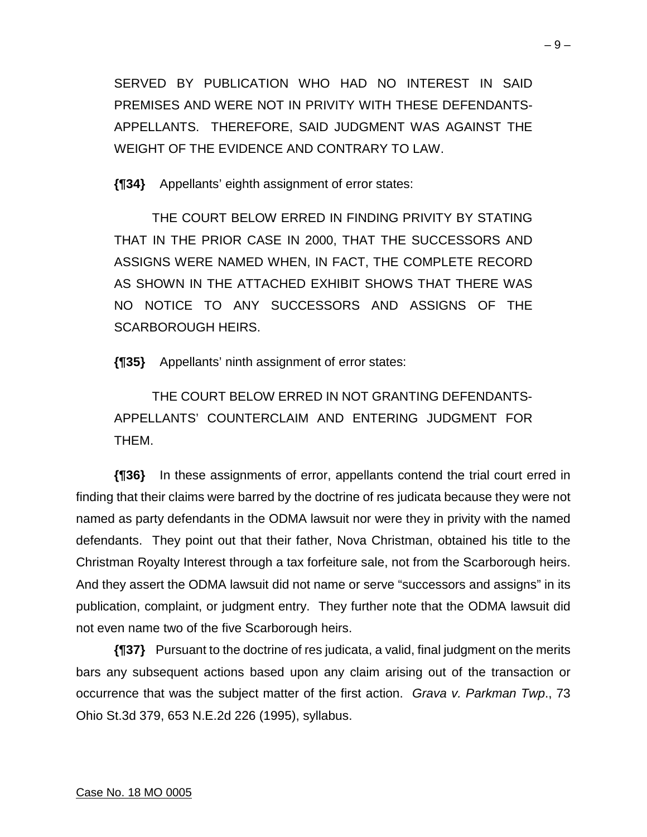SERVED BY PUBLICATION WHO HAD NO INTEREST IN SAID PREMISES AND WERE NOT IN PRIVITY WITH THESE DEFENDANTS-APPELLANTS. THEREFORE, SAID JUDGMENT WAS AGAINST THE WEIGHT OF THE EVIDENCE AND CONTRARY TO LAW.

**{¶34}** Appellants' eighth assignment of error states:

 THE COURT BELOW ERRED IN FINDING PRIVITY BY STATING THAT IN THE PRIOR CASE IN 2000, THAT THE SUCCESSORS AND ASSIGNS WERE NAMED WHEN, IN FACT, THE COMPLETE RECORD AS SHOWN IN THE ATTACHED EXHIBIT SHOWS THAT THERE WAS NO NOTICE TO ANY SUCCESSORS AND ASSIGNS OF THE SCARBOROUGH HEIRS.

**{¶35}** Appellants' ninth assignment of error states:

 THE COURT BELOW ERRED IN NOT GRANTING DEFENDANTS-APPELLANTS' COUNTERCLAIM AND ENTERING JUDGMENT FOR THEM.

**{¶36}** In these assignments of error, appellants contend the trial court erred in finding that their claims were barred by the doctrine of res judicata because they were not named as party defendants in the ODMA lawsuit nor were they in privity with the named defendants. They point out that their father, Nova Christman, obtained his title to the Christman Royalty Interest through a tax forfeiture sale, not from the Scarborough heirs. And they assert the ODMA lawsuit did not name or serve "successors and assigns" in its publication, complaint, or judgment entry. They further note that the ODMA lawsuit did not even name two of the five Scarborough heirs.

**{¶37}** Pursuant to the doctrine of res judicata, a valid, final judgment on the merits bars any subsequent actions based upon any claim arising out of the transaction or occurrence that was the subject matter of the first action. *Grava v. Parkman Twp*., 73 Ohio St.3d 379, 653 N.E.2d 226 (1995), syllabus.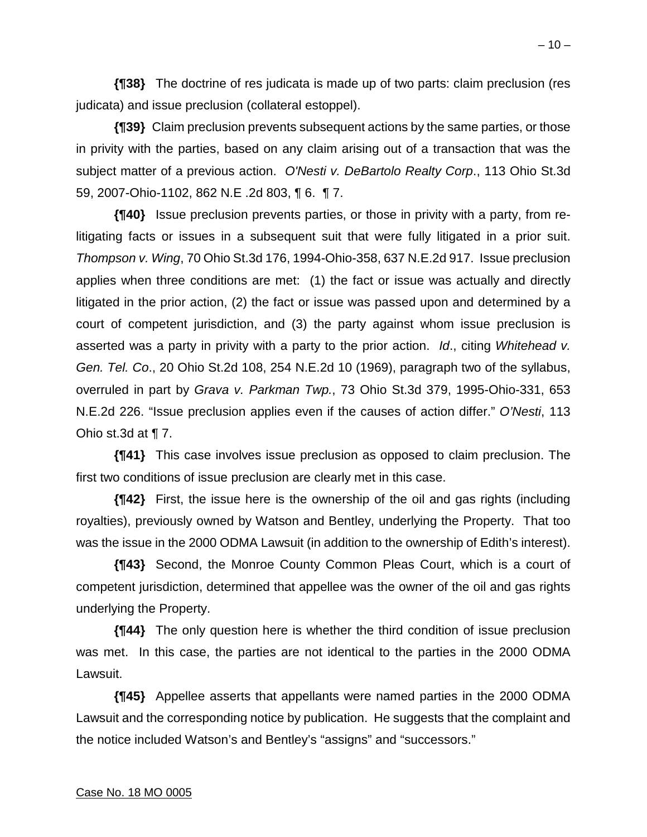**{¶38}** The doctrine of res judicata is made up of two parts: claim preclusion (res judicata) and issue preclusion (collateral estoppel).

**{¶39}** Claim preclusion prevents subsequent actions by the same parties, or those in privity with the parties, based on any claim arising out of a transaction that was the subject matter of a previous action. *O'Nesti v. DeBartolo Realty Corp*., 113 Ohio St.3d 59, 2007-Ohio-1102, 862 N.E .2d 803, ¶ 6. ¶ 7.

**{¶40}** Issue preclusion prevents parties, or those in privity with a party, from relitigating facts or issues in a subsequent suit that were fully litigated in a prior suit. *Thompson v. Wing*, 70 Ohio St.3d 176, 1994-Ohio-358, 637 N.E.2d 917. Issue preclusion applies when three conditions are met: (1) the fact or issue was actually and directly litigated in the prior action, (2) the fact or issue was passed upon and determined by a court of competent jurisdiction, and (3) the party against whom issue preclusion is asserted was a party in privity with a party to the prior action. *Id*., citing *Whitehead v. Gen. Tel. Co*., 20 Ohio St.2d 108, 254 N.E.2d 10 (1969), paragraph two of the syllabus, overruled in part by *Grava v. Parkman Twp.*, 73 Ohio St.3d 379, 1995-Ohio-331, 653 N.E.2d 226. "Issue preclusion applies even if the causes of action differ." *O'Nesti*, 113 Ohio st.3d at ¶ 7.

**{¶41}** This case involves issue preclusion as opposed to claim preclusion. The first two conditions of issue preclusion are clearly met in this case.

**{¶42}** First, the issue here is the ownership of the oil and gas rights (including royalties), previously owned by Watson and Bentley, underlying the Property. That too was the issue in the 2000 ODMA Lawsuit (in addition to the ownership of Edith's interest).

**{¶43}** Second, the Monroe County Common Pleas Court, which is a court of competent jurisdiction, determined that appellee was the owner of the oil and gas rights underlying the Property.

**{¶44}** The only question here is whether the third condition of issue preclusion was met. In this case, the parties are not identical to the parties in the 2000 ODMA Lawsuit.

**{¶45}** Appellee asserts that appellants were named parties in the 2000 ODMA Lawsuit and the corresponding notice by publication. He suggests that the complaint and the notice included Watson's and Bentley's "assigns" and "successors."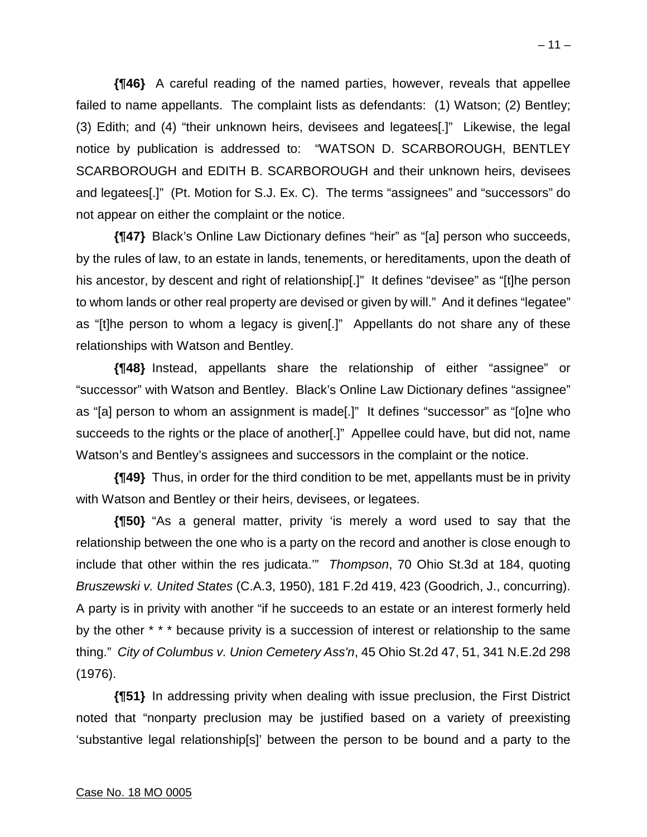**{¶46}** A careful reading of the named parties, however, reveals that appellee failed to name appellants. The complaint lists as defendants: (1) Watson; (2) Bentley; (3) Edith; and (4) "their unknown heirs, devisees and legatees[.]" Likewise, the legal notice by publication is addressed to: "WATSON D. SCARBOROUGH, BENTLEY SCARBOROUGH and EDITH B. SCARBOROUGH and their unknown heirs, devisees and legatees[.]" (Pt. Motion for S.J. Ex. C). The terms "assignees" and "successors" do not appear on either the complaint or the notice.

**{¶47}** Black's Online Law Dictionary defines "heir" as "[a] person who succeeds, by the rules of law, to an estate in lands, tenements, or hereditaments, upon the death of his ancestor, by descent and right of relationship[.]" It defines "devisee" as "[t]he person to whom lands or other real property are devised or given by will." And it defines "legatee" as "[t]he person to whom a legacy is given[.]" Appellants do not share any of these relationships with Watson and Bentley.

**{¶48}** Instead, appellants share the relationship of either "assignee" or "successor" with Watson and Bentley. Black's Online Law Dictionary defines "assignee" as "[a] person to whom an assignment is made[.]" It defines "successor" as "[o]ne who succeeds to the rights or the place of another[.]" Appellee could have, but did not, name Watson's and Bentley's assignees and successors in the complaint or the notice.

**{¶49}** Thus, in order for the third condition to be met, appellants must be in privity with Watson and Bentley or their heirs, devisees, or legatees.

**{¶50}** "As a general matter, privity 'is merely a word used to say that the relationship between the one who is a party on the record and another is close enough to include that other within the res judicata.'" *Thompson*, 70 Ohio St.3d at 184, quoting *Bruszewski v. United States* (C.A.3, 1950), 181 F.2d 419, 423 (Goodrich, J., concurring). A party is in privity with another "if he succeeds to an estate or an interest formerly held by the other \* \* \* because privity is a succession of interest or relationship to the same thing." *City of Columbus v. Union Cemetery Ass'n*, 45 Ohio St.2d 47, 51, 341 N.E.2d 298 (1976).

**{¶51}** In addressing privity when dealing with issue preclusion, the First District noted that "nonparty preclusion may be justified based on a variety of preexisting 'substantive legal relationship[s]' between the person to be bound and a party to the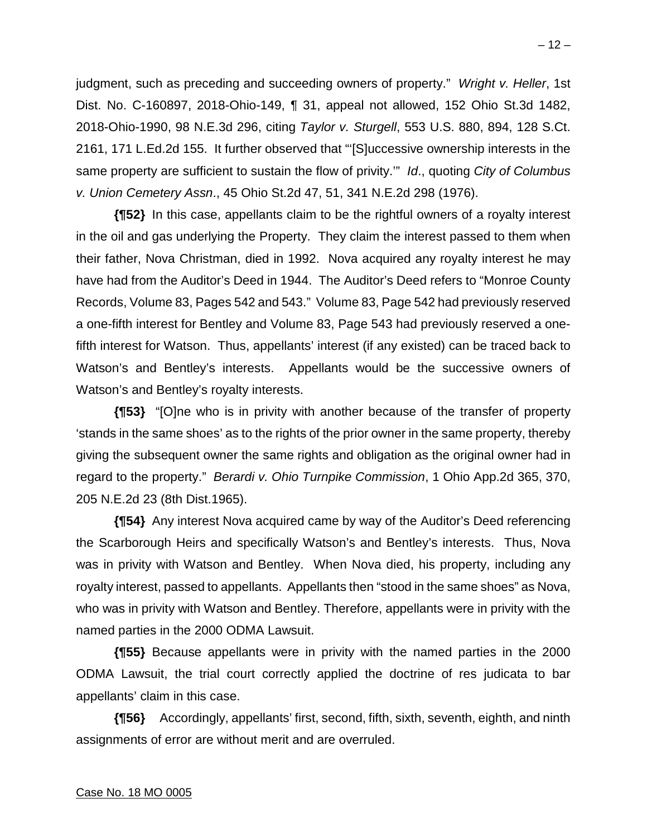judgment, such as preceding and succeeding owners of property." *Wright v. Heller*, 1st Dist. No. C-160897, 2018-Ohio-149, ¶ 31, appeal not allowed, 152 Ohio St.3d 1482, 2018-Ohio-1990, 98 N.E.3d 296, citing *Taylor v. Sturgell*, 553 U.S. 880, 894, 128 S.Ct. 2161, 171 L.Ed.2d 155. It further observed that "'[S]uccessive ownership interests in the same property are sufficient to sustain the flow of privity.'" *Id*., quoting *City of Columbus v. Union Cemetery Assn*., 45 Ohio St.2d 47, 51, 341 N.E.2d 298 (1976).

**{¶52}** In this case, appellants claim to be the rightful owners of a royalty interest in the oil and gas underlying the Property. They claim the interest passed to them when their father, Nova Christman, died in 1992. Nova acquired any royalty interest he may have had from the Auditor's Deed in 1944. The Auditor's Deed refers to "Monroe County Records, Volume 83, Pages 542 and 543." Volume 83, Page 542 had previously reserved a one-fifth interest for Bentley and Volume 83, Page 543 had previously reserved a onefifth interest for Watson. Thus, appellants' interest (if any existed) can be traced back to Watson's and Bentley's interests. Appellants would be the successive owners of Watson's and Bentley's royalty interests.

**{¶53}** "[O]ne who is in privity with another because of the transfer of property 'stands in the same shoes' as to the rights of the prior owner in the same property, thereby giving the subsequent owner the same rights and obligation as the original owner had in regard to the property." *Berardi v. Ohio Turnpike Commission*, 1 Ohio App.2d 365, 370, 205 N.E.2d 23 (8th Dist.1965).

**{¶54}** Any interest Nova acquired came by way of the Auditor's Deed referencing the Scarborough Heirs and specifically Watson's and Bentley's interests. Thus, Nova was in privity with Watson and Bentley. When Nova died, his property, including any royalty interest, passed to appellants. Appellants then "stood in the same shoes" as Nova, who was in privity with Watson and Bentley. Therefore, appellants were in privity with the named parties in the 2000 ODMA Lawsuit.

**{¶55}** Because appellants were in privity with the named parties in the 2000 ODMA Lawsuit, the trial court correctly applied the doctrine of res judicata to bar appellants' claim in this case.

**{¶56}** Accordingly, appellants' first, second, fifth, sixth, seventh, eighth, and ninth assignments of error are without merit and are overruled.

#### Case No. 18 MO 0005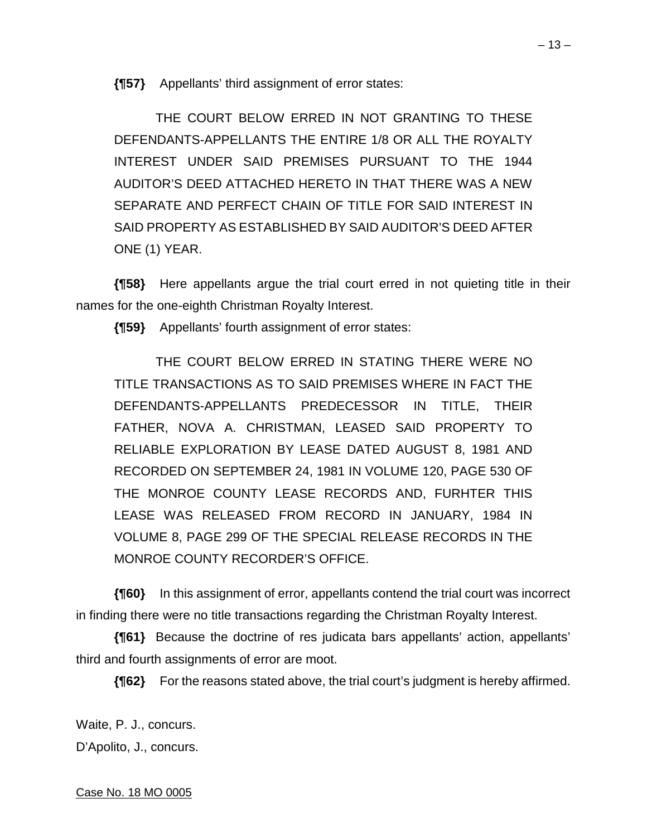**{¶57}** Appellants' third assignment of error states:

 THE COURT BELOW ERRED IN NOT GRANTING TO THESE DEFENDANTS-APPELLANTS THE ENTIRE 1/8 OR ALL THE ROYALTY INTEREST UNDER SAID PREMISES PURSUANT TO THE 1944 AUDITOR'S DEED ATTACHED HERETO IN THAT THERE WAS A NEW SEPARATE AND PERFECT CHAIN OF TITLE FOR SAID INTEREST IN SAID PROPERTY AS ESTABLISHED BY SAID AUDITOR'S DEED AFTER ONE (1) YEAR.

**{¶58}** Here appellants argue the trial court erred in not quieting title in their names for the one-eighth Christman Royalty Interest.

**{¶59}** Appellants' fourth assignment of error states:

 THE COURT BELOW ERRED IN STATING THERE WERE NO TITLE TRANSACTIONS AS TO SAID PREMISES WHERE IN FACT THE DEFENDANTS-APPELLANTS PREDECESSOR IN TITLE, THEIR FATHER, NOVA A. CHRISTMAN, LEASED SAID PROPERTY TO RELIABLE EXPLORATION BY LEASE DATED AUGUST 8, 1981 AND RECORDED ON SEPTEMBER 24, 1981 IN VOLUME 120, PAGE 530 OF THE MONROE COUNTY LEASE RECORDS AND, FURHTER THIS LEASE WAS RELEASED FROM RECORD IN JANUARY, 1984 IN VOLUME 8, PAGE 299 OF THE SPECIAL RELEASE RECORDS IN THE MONROE COUNTY RECORDER'S OFFICE.

**{¶60}** In this assignment of error, appellants contend the trial court was incorrect in finding there were no title transactions regarding the Christman Royalty Interest.

**{¶61}** Because the doctrine of res judicata bars appellants' action, appellants' third and fourth assignments of error are moot.

**{¶62}** For the reasons stated above, the trial court's judgment is hereby affirmed.

Waite, P. J., concurs. D'Apolito, J., concurs.

Case No. 18 MO 0005